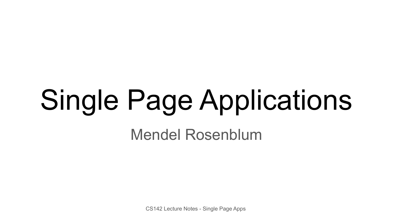# Single Page Applications

Mendel Rosenblum

CS142 Lecture Notes - Single Page Apps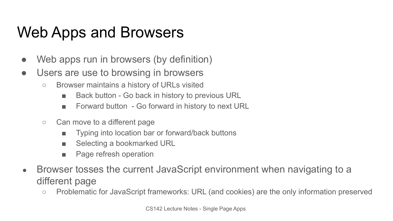# Web Apps and Browsers

- Web apps run in browsers (by definition)
- Users are use to browsing in browsers
	- Browser maintains a history of URLs visited
		- Back button Go back in history to previous URL
		- Forward button Go forward in history to next URL
	- Can move to a different page
		- Typing into location bar or forward/back buttons
		- Selecting a bookmarked URL
		- Page refresh operation
- Browser tosses the current JavaScript environment when navigating to a different page
	- Problematic for JavaScript frameworks: URL (and cookies) are the only information preserved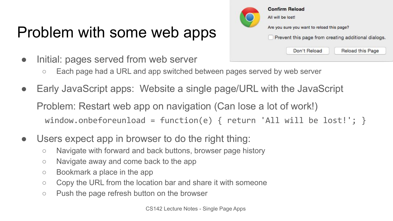# Problem with some web apps

- Initial: pages served from web server
	- Each page had a URL and app switched between pages served by web server
- Early JavaScript apps: Website a single page/URL with the JavaScript Problem: Restart web app on navigation (Can lose a lot of work!) window.onbeforeunload = function(e) { return 'All will be lost!'; }
- Users expect app in browser to do the right thing:
	- Navigate with forward and back buttons, browser page history
	- Navigate away and come back to the app
	- Bookmark a place in the app
	- Copy the URL from the location bar and share it with someone
	- Push the page refresh button on the browser

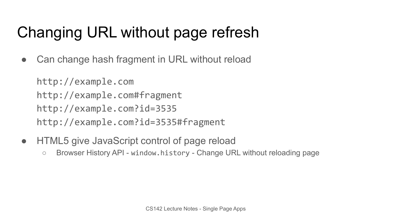# Changing URL without page refresh

• Can change hash fragment in URL without reload

http://example.com http://example.com#fragment http://example.com?id=3535 http://example.com?id=3535#fragment

- HTML5 give JavaScript control of page reload
	- Browser History API window.history Change URL without reloading page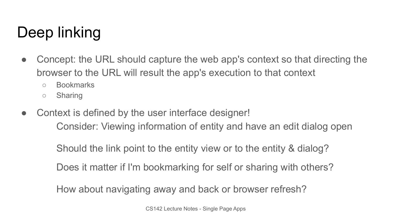# Deep linking

- Concept: the URL should capture the web app's context so that directing the browser to the URL will result the app's execution to that context
	- Bookmarks
	- Sharing
- Context is defined by the user interface designer! Consider: Viewing information of entity and have an edit dialog open

Should the link point to the entity view or to the entity & dialog?

Does it matter if I'm bookmarking for self or sharing with others?

How about navigating away and back or browser refresh?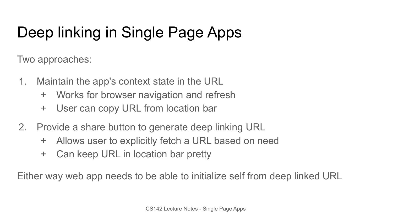# Deep linking in Single Page Apps

Two approaches:

- 1. Maintain the app's context state in the URL
	- + Works for browser navigation and refresh
	- + User can copy URL from location bar
- 2. Provide a share button to generate deep linking URL
	- + Allows user to explicitly fetch a URL based on need
	- + Can keep URL in location bar pretty

Either way web app needs to be able to initialize self from deep linked URL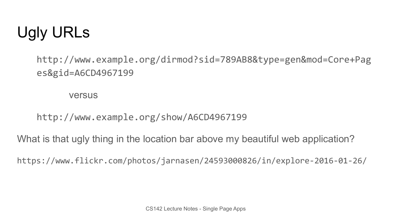

http://www.example.org/dirmod?sid=789AB8&type=gen&mod=Core+Pag es&gid=A6CD4967199

versus

http://www.example.org/show/A6CD4967199

What is that ugly thing in the location bar above my beautiful web application?

https://www.flickr.com/photos/jarnasen/24593000826/in/explore-2016-01-26/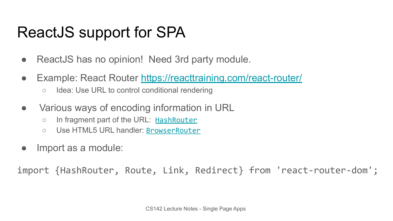# ReactJS support for SPA

- ReactJS has no opinion! Need 3rd party module.
- Example: React Router<https://reacttraining.com/react-router/>
	- Idea: Use URL to control conditional rendering
- Various ways of encoding information in URL
	- In fragment part of the URL: [HashRouter](https://reacttraining.com/react-router/web/api/HashRouter)
	- Use HTML5 URL handler: [BrowserRouter](https://reacttraining.com/react-router/web/api/BrowserRouter)
- Import as a module:

import {HashRouter, Route, Link, Redirect} from 'react-router-dom';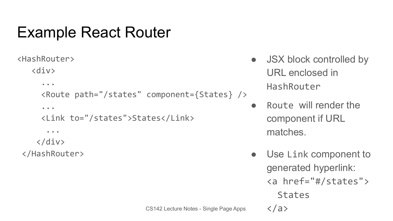### Example React Router

```
<HashRouter>
```
#### <div>

```
 ...
 <Route path="/states" component={States} />
 ...
```

```
 <Link to="/states">States</Link>
```
...

```
 </div>
```
</HashRouter>

- JSX block controlled by URL enclosed in HashRouter
- Route will render the component if URL matches.
- Use Link component to generated hyperlink: <a href="#/states"> **States**  $\langle$ a>

```
CS142 Lecture Notes - Single Page Apps
```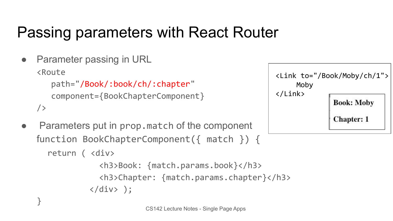# Passing parameters with React Router

• Parameter passing in URL <Route path="/Book/:book/ch/:chapter" component={BookChapterComponent} />

}

• Parameters put in prop.match of the component function BookChapterComponent({ match }) { return ( <div>

```
 <h3>Book: {match.params.book}</h3> 
   <h3>Chapter: {match.params.chapter}</h3>
\langle/div> \rangle;
```


```
CS142 Lecture Notes - Single Page Apps
```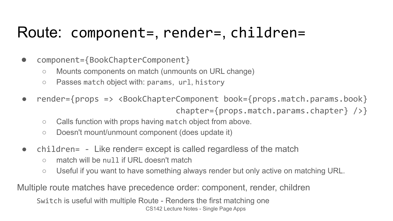#### Route: component=, render=, children=

- component={BookChapterComponent}
	- Mounts components on match (unmounts on URL change)
	- Passes match object with: params, url, history
- render={props => <BookChapterComponent book={props.match.params.book} chapter={props.match.params.chapter} />}
	- Calls function with props having match object from above.
	- Doesn't mount/unmount component (does update it)
- children= Like render= except is called regardless of the match
	- match will be null if URL doesn't match
	- Useful if you want to have something always render but only active on matching URL.

Multiple route matches have precedence order: component, render, children

CS142 Lecture Notes - Single Page Apps Switch is useful with multiple Route - Renders the first matching one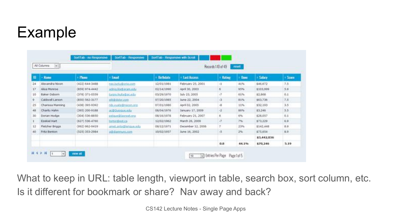### Example

|    | All Columns<br>$\mathcal{L}$ |                    |                         |                  |                    | Records 110 of 49 | aund.       |             |       |
|----|------------------------------|--------------------|-------------------------|------------------|--------------------|-------------------|-------------|-------------|-------|
| m  | - Name                       | Phone              | final                   | <b>Birthdate</b> | <b>Last Access</b> | Rating            | <b>Dane</b> | Salary      | Score |
| 24 | Alexandra Noon               | $(422) 644 - 3488$ | neckstu@orlis.com       | 12/01/1981       | February 25, 2001  | $\times$          | 41%         | \$46,672    | 7.5   |
| 17 | Alisa Monroe                 | $(859)974-4442$    | Jeffing Madilerans edu  | 02/14/1990       | April 30, 2003     | ×                 | 95%         | \$103,999   | 5.9   |
| 50 | Baker Osborn                 | (378) 371-0559     | turam Aulta@ac.edu      | 03/29/1970       | July 23, 2005      | $-7$              | 61%         | \$2,968     | 0.5   |
| ۰  | Caldwell Lanson              | (850) 562-2177     | with the deler com-     | 07/20/1985       | June 22, 2004      | $-3-$             | $0.1\%$     | \$63,736    | 7.5:  |
| 25 | Chanssa Manning              | $(438)$ 395-9392   | nb.yuste@necon.org      | 07/01/1980       | April 02, 2005     | $\cdot$           | 11%         | \$32,193    | 3.5   |
| 48 | Charity Hahn                 | $(395)$ 200-9188   | ac@Dustrous.edu         | 08/04/1976       | January 17, 2009   | $\mathcal{L}$     | 86%         | \$3,246     | 3.5   |
| 30 | Donan Hodge                  | $(304) 536 - 8650$ | pelgue@laprest.org      | 06/16/1978       | February 21, 2007  | 5.                | 6%          | \$28,057    | 0.1   |
|    | Ezekial Hart                 | (627) 536-4760     | tomordient.ca           | 12/02/1962       | March 26, 2009.    | -7                | 7%          | \$73,229    | 6.9   |
| 12 | Fletcher Briggs              | (992) 962-9419     | amet, ante Olengue, edu | 08/12/1971       | December 12, 2006  | Y.                | 23%         | 5142,448    | 8.9   |
| 45 | Fritz Benton                 | (325) 353-2984     | addamnunc.com           | 10/02/1957       | June 16, 2002      | 15.               | 2%          | \$75,654    | 8.9   |
|    |                              |                    |                         |                  |                    |                   |             | \$3,442,036 |       |
|    |                              |                    |                         |                  |                    | 0.8               | 44.1%       | \$70,246    | 5.19  |

What to keep in URL: table length, viewport in table, search box, sort column, etc. Is it different for bookmark or share? Nav away and back?